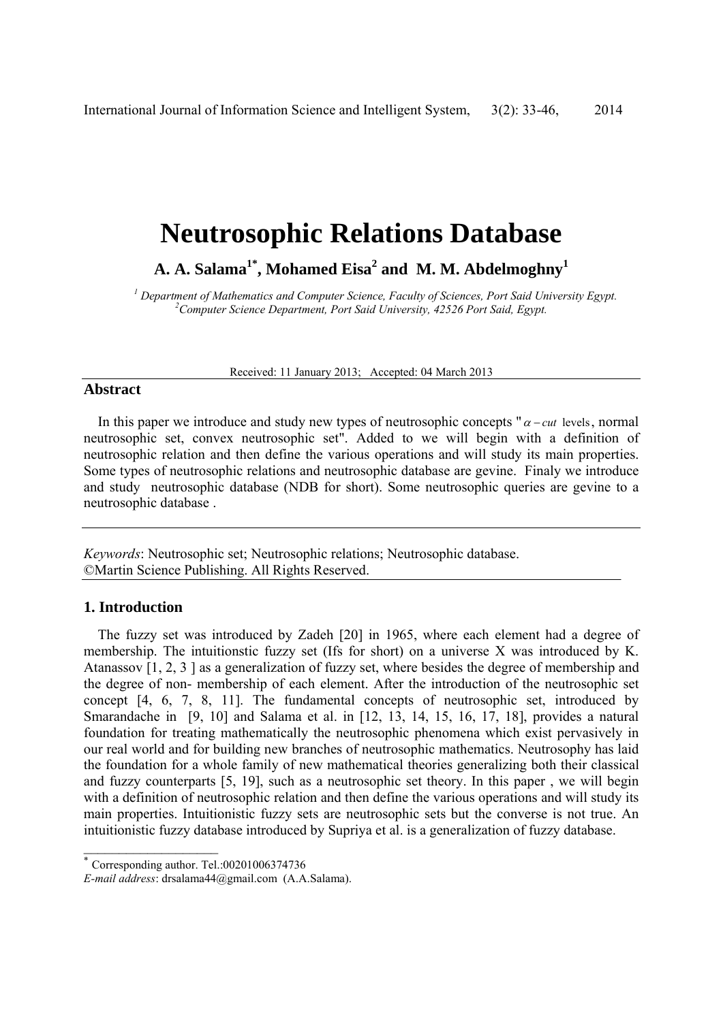# **Neutrosophic Relations Database**

A. A. Salama<sup>1\*</sup>, Mohamed Eisa<sup>2</sup> and M. M. Abdelmoghny<sup>1</sup>

<sup>1</sup> Department of Mathematics and Computer Science, Faculty of Sciences, Port Said University Egypt.<br><sup>2</sup> Computer Science Department, Bort Said University 42526 Bort Said, Frant. *Computer Science Department, Port Said University, 42526 Port Said, Egypt.*

Received: 11 January 2013; Accepted: 04 March 2013

# **Abstract**

In this paper we introduce and study new types of neutrosophic concepts " $\alpha$  – *cut* levels, normal neutrosophic set, convex neutrosophic set". Added to we will begin with a definition of neutrosophic relation and then define the various operations and will study its main properties. Some types of neutrosophic relations and neutrosophic database are gevine. Finaly we introduce and study neutrosophic database (NDB for short). Some neutrosophic queries are gevine to a neutrosophic database .

*Keywords*: Neutrosophic set; Neutrosophic relations; Neutrosophic database. ©Martin Science Publishing. All Rights Reserved.

# **1. Introduction**

The fuzzy set was introduced by Zadeh [20] in 1965, where each element had a degree of membership. The intuitionstic fuzzy set (Ifs for short) on a universe X was introduced by K. Atanassov [1, 2, 3 ] as a generalization of fuzzy set, where besides the degree of membership and the degree of non- membership of each element. After the introduction of the neutrosophic set concept [4, 6, 7, 8, 11]. The fundamental concepts of neutrosophic set, introduced by Smarandache in [9, 10] and Salama et al. in [12, 13, 14, 15, 16, 17, 18], provides a natural foundation for treating mathematically the neutrosophic phenomena which exist pervasively in our real world and for building new branches of neutrosophic mathematics. Neutrosophy has laid the foundation for a whole family of new mathematical theories generalizing both their classical and fuzzy counterparts [5, 19], such as a neutrosophic set theory. In this paper , we will begin with a definition of neutrosophic relation and then define the various operations and will study its main properties. Intuitionistic fuzzy sets are neutrosophic sets but the converse is not true. An intuitionistic fuzzy database introduced by Supriya et al. is a generalization of fuzzy database.

 $\overline{\phantom{a}}$  , where  $\overline{\phantom{a}}$ 

<sup>∗</sup> Corresponding author. Tel.:00201006374736

*E-mail address*: drsalama44@gmail.com (A.A.Salama).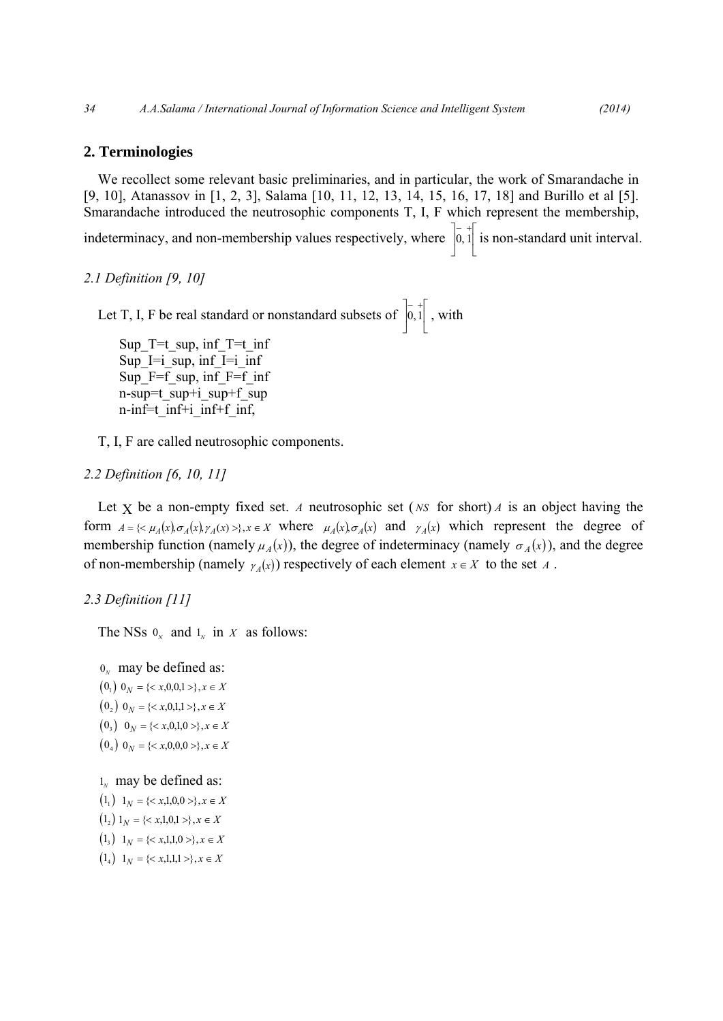## **2. Terminologies**

We recollect some relevant basic preliminaries, and in particular, the work of Smarandache in [9, 10], Atanassov in [1, 2, 3], Salama [10, 11, 12, 13, 14, 15, 16, 17, 18] and Burillo et al [5]. Smarandache introduced the neutrosophic components T, I, F which represent the membership, indeterminacy, and non-membership values respectively, where  $\vert 0,1 \vert$ ⎣  $\begin{bmatrix} - & + \\ 0 & 1 \end{bmatrix}$  $\overline{a}$  $\begin{bmatrix} - & + \\ 0 & 1 \end{bmatrix}$  is non-standard unit interval.

*2.1 Definition [9, 10]* 

Let T, I, F be real standard or nonstandard subsets of  $\vert 0,1 \vert$ ⎣  $\left| \overline{0,1} \right|$ ⎦  $\begin{bmatrix} - & + \\ 0 & 1 \end{bmatrix}$ , with

Sup  $T=t$  sup, inf  $T=t$  inf Sup I=i sup, inf I=i inf Sup  $F=f$  sup, inf  $F=f$  inf n-sup=t\_sup+i\_sup+f\_sup n-inf=t\_inf+i\_inf+f\_inf,

T, I, F are called neutrosophic components.

*2.2 Definition [6, 10, 11]* 

Let X be a non-empty fixed set. *A* neutrosophic set ( *NS* for short) *A* is an object having the form  $A = \{ \langle \mu_A(x), \sigma_A(x) \rangle : A \in X \text{ where } \mu_A(x), \sigma_A(x) \text{ and } \gamma_A(x) \text{ which represent the degree of } A \}.$ membership function (namely  $\mu_A(x)$ ), the degree of indeterminacy (namely  $\sigma_A(x)$ ), and the degree of non-membership (namely  $\gamma_A(x)$ ) respectively of each element  $x \in X$  to the set *A*.

## *2.3 Definition [11]*

The NSs  $0<sub>N</sub>$  and  $1<sub>N</sub>$  in *X* as follows:

 $0<sub>N</sub>$  may be defined as:  $(0, 0)$   $0_N = \{\}, x \in X$  $(0, 0)$   $0_N = \{ *x*, 0, 1, 1 > \}, x \in X$  $(0_3)$   $0_N = \{ \langle x, 0, 1, 0 \rangle \}, x \in X$  $(0_4)$   $0_N = \{< x, 0, 0, 0> \}, x \in X$ 

 $1<sub>N</sub>$  may be defined as:

 $(1_1)$   $1_N = \{< x, 1, 0, 0 > \}, x \in X$  $(1_2) 1_N = \{ \langle x, 1, 0, 1 \rangle \}, x \in X$  $(1_3)$   $1_N = \{< x, 1, 1, 0 > \}, x \in X$  $(1_4)$   $1_N = \{ \langle x, 1, 1, 1 \rangle \}, x \in X$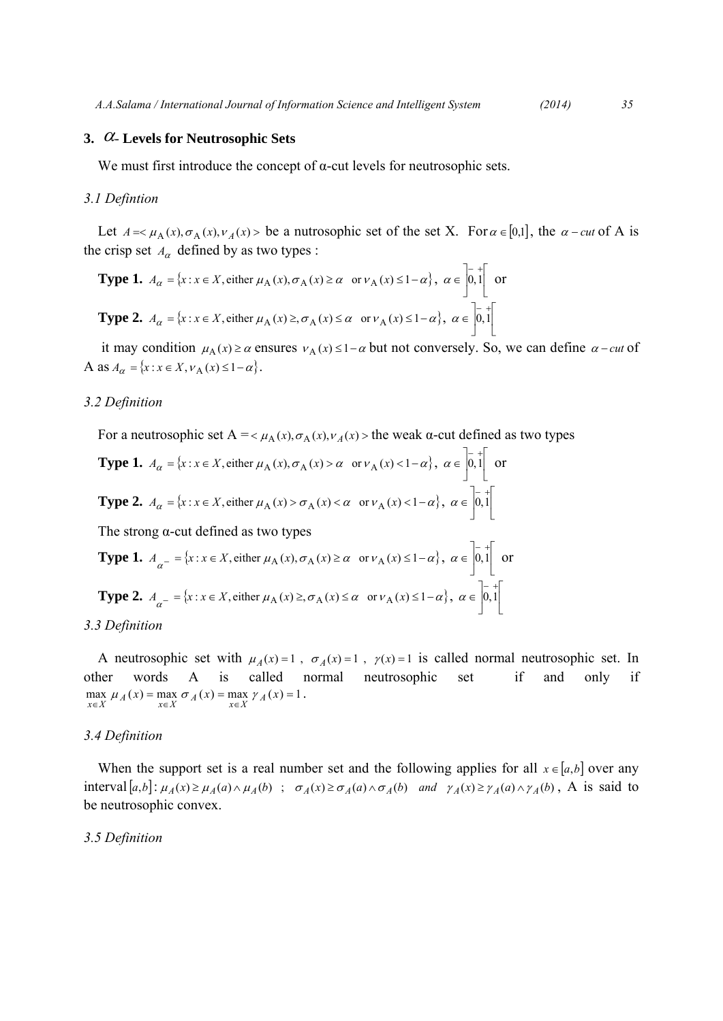## **3.** α- **Levels for Neutrosophic Sets**

We must first introduce the concept of  $\alpha$ -cut levels for neutrosophic sets.

#### *3.1 Defintion*

Let  $A = \mu_A(x), \sigma_A(x), \nu_A(x) >$  be a nutrosophic set of the set X. For  $\alpha \in [0,1]$ , the  $\alpha$  – *cut* of A is the crisp set  $A_{\alpha}$  defined by as two types :

**Type 1.** 
$$
A_{\alpha} = \{x : x \in X, \text{ either } \mu_A(x), \sigma_A(x) \ge \alpha \text{ or } \nu_A(x) \le 1 - \alpha\}, \alpha \in \left]0,1\right[
$$
 or  
\n**Type 2.**  $A_{\alpha} = \{x : x \in X, \text{ either } \mu_A(x) \ge \sigma_A(x) \le \alpha \text{ or } \nu_A(x) \le 1 - \alpha\}, \alpha \in \left]0,1\right[$ 

it may condition  $\mu_A(x) \ge \alpha$  ensures  $v_A(x) \le 1-\alpha$  but not conversely. So, we can define  $\alpha$ -cut of A as  $A_{\alpha} = \{x : x \in X, v_A(x) \le 1 - \alpha\}.$ 

#### *3.2 Definition*

For a neutrosophic set A =  $\lt \mu_A(x), \sigma_A(x), \nu_A(x)$  > the weak α-cut defined as two types

**Type 1.**  $A_{\alpha} = \{x : x \in X, \text{ either } \mu_A(x), \sigma_A(x) > \alpha \text{ or } \nu_A(x) < 1 - \alpha\}, \alpha \in [0,1]$ ⎣  $\left| \overline{0,1} \right|$  $\overline{a}$  $\alpha \in \begin{bmatrix} - & + \\ 0 & 1 \end{bmatrix}$  or **Type 2.**  $A_{\alpha} = \{x : x \in X, \text{ either } \mu_A(x) > \sigma_A(x) < \alpha \text{ or } \nu_A(x) < 1 - \alpha\}, \alpha \in [0,1]$ ⎣  $\left| \overline{0,1} \right|$  $\overline{\phantom{a}}$  $\alpha \in \left[0,1\right]$ 

The strong  $\alpha$ -cut defined as two types

**Type 1.** 
$$
A_{\alpha^{-}} = \{x : x \in X, \text{ either } \mu_A(x), \sigma_A(x) \ge \alpha \text{ or } \nu_A(x) \le 1 - \alpha\}, \alpha \in \left] 0,1 \right[
$$
 or  
\n**Type 2.**  $A_{\alpha^{-}} = \{x : x \in X, \text{ either } \mu_A(x) \ge \sigma_A(x) \le \alpha \text{ or } \nu_A(x) \le 1 - \alpha\}, \alpha \in \left] 0,1 \right[$ 

#### *3.3 Definition*

A neutrosophic set with  $\mu_A(x) = 1$ ,  $\sigma_A(x) = 1$ ,  $\gamma(x) = 1$  is called normal neutrosophic set. In other words A is called normal neutrosophic set if and only if  $\max_{x \in X} \mu_A(x) = \max_{x \in X} \sigma_A(x) = \max_{x \in X} \gamma_A(x) = 1$ .

## *3.4 Definition*

When the support set is a real number set and the following applies for all  $x \in [a,b]$  over any interval  $[a,b]$ :  $\mu_A(x) \ge \mu_A(a) \wedge \mu_A(b)$ ;  $\sigma_A(x) \ge \sigma_A(a) \wedge \sigma_A(b)$  and  $\gamma_A(x) \ge \gamma_A(a) \wedge \gamma_A(b)$ , A is said to be neutrosophic convex.

#### *3.5 Definition*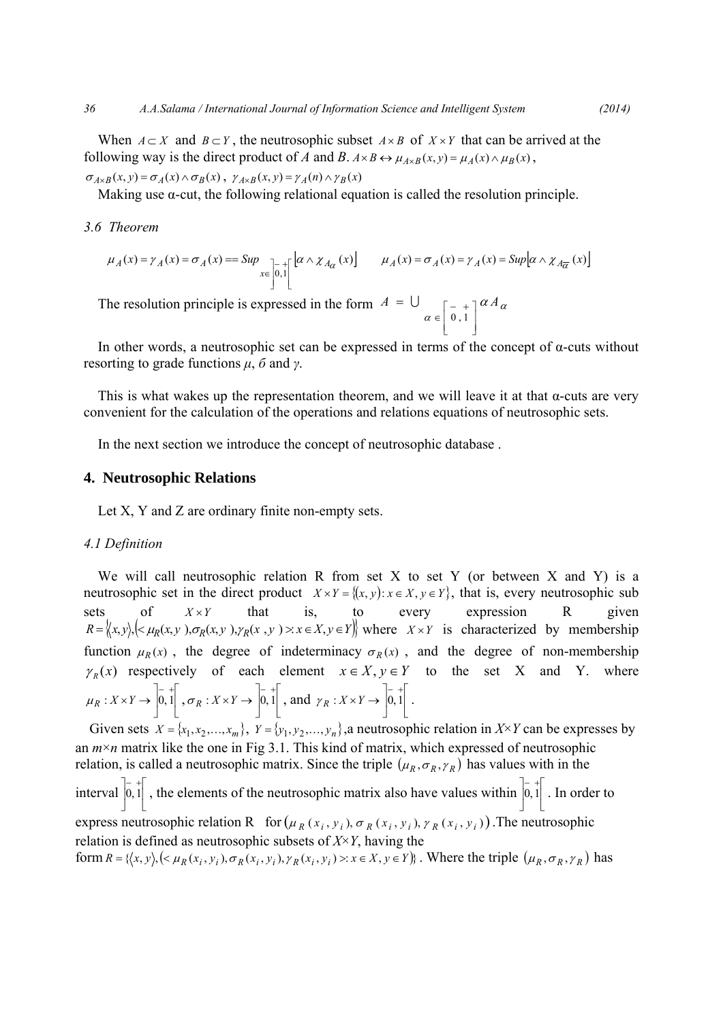When  $A \subset X$  and  $B \subset Y$ , the neutrosophic subset  $A \times B$  of  $X \times Y$  that can be arrived at the following way is the direct product of *A* and *B*.  $A \times B \leftrightarrow \mu_{A \times B}(x, y) = \mu_A(x) \wedge \mu_B(x)$ ,

 $\sigma_{A\times B}(x, y) = \sigma_A(x) \wedge \sigma_B(x)$ ,  $\gamma_{A\times B}(x, y) = \gamma_A(n) \wedge \gamma_B(x)$ 

Making use  $\alpha$ -cut, the following relational equation is called the resolution principle.

#### *3.6 Theorem*

$$
\mu_A(x) = \gamma_A(x) = \sigma_A(x) = \text{Sup}_{x \in \left]0,1\right[} \left[ \alpha \wedge \chi_{A_\alpha}(x) \right] \qquad \mu_A(x) = \sigma_A(x) = \gamma_A(x) = \text{Sup}_{\alpha \wedge \chi_{A_{\overline{\alpha}}}(x) \right]
$$

The resolution principle is expressed in the form  $A = \bigcup_{\alpha \in \left[0,1\right]} \alpha A_{\alpha}$  $A = \bigcup_{\square_{-+1} a A} A$  $\overline{\phantom{a}}$ ⎥  $\overline{\phantom{a}}$  $\overline{\phantom{a}}$ ⎢ ⎢ ⎣ ⎡ − + ∈ = 0 , 1 U

In other words, a neutrosophic set can be expressed in terms of the concept of  $\alpha$ -cuts without resorting to grade functions *μ*, *б* and *γ*.

This is what wakes up the representation theorem, and we will leave it at that  $\alpha$ -cuts are very convenient for the calculation of the operations and relations equations of neutrosophic sets.

In the next section we introduce the concept of neutrosophic database .

# **4. Neutrosophic Relations**

Let X, Y and Z are ordinary finite non-empty sets.

#### *4.1 Definition*

We will call neutrosophic relation R from set X to set Y (or between X and Y) is a neutrosophic set in the direct product  $X \times Y = \{(x, y): x \in X, y \in Y\}$ , that is, every neutrosophic sub sets of  $X \times Y$  that is, to every expression R given  $R = \langle x, y \rangle, \langle \langle \mu_R(x, y), \sigma_R(x, y), \gamma_R(x, y) \rangle \rangle : x \in X, y \in Y \rangle$  where  $X \times Y$  is characterized by membership function  $\mu_R(x)$ , the degree of indeterminacy  $\sigma_R(x)$ , and the degree of non-membership  $\gamma_R(x)$  respectively of each element  $x \in X, y \in Y$  to the set X and Y. where  $\mathsf I$ ⎣  $\left| \frac{1}{0,1} \right|$ ⎦  $\mu_R: X \times Y \to \begin{bmatrix} - & + \\ 0 & 1 \end{bmatrix}, \sigma_R: X \times Y \to \begin{bmatrix} - & + \\ 0 & 1 \end{bmatrix}$ ⎣  $\left| \frac{1}{0,1} \right|$ ⎦  $\sigma_R: X \times Y \to \begin{bmatrix} -1 \\ 0, 1 \end{bmatrix}$ , and  $\gamma_R: X \times Y \to \begin{bmatrix} -1 \\ 0, 1 \end{bmatrix}$ ⎣  $\left| \overline{0, 1} \right|$ ⎦  $\gamma_R : X \times Y \to \begin{bmatrix} - & + \\ 0 & 1 \end{bmatrix}$ .

Given sets  $X = \{x_1, x_2, \dots, x_m\}$ ,  $Y = \{y_1, y_2, \dots, y_n\}$ , a neutrosophic relation in  $X \times Y$  can be expresses by an  $m \times n$  matrix like the one in Fig 3.1. This kind of matrix, which expressed of neutrosophic relation, is called a neutrosophic matrix. Since the triple  $(\mu_R, \sigma_R, \gamma_R)$  has values with in the interval  $\vert 0,1 \vert$ ⎣  $\left| \frac{-}{0,1} \right|$ ⎦  $\begin{bmatrix} -1 \\ 0,1 \end{bmatrix}$ , the elements of the neutrosophic matrix also have values within  $\begin{bmatrix} -1 \\ 0,1 \end{bmatrix}$ ⎣  $\left| \overline{0, 1} \right|$  $\overline{a}$  $\begin{bmatrix} - & + \\ 0 & 1 \end{bmatrix}$ . In order to express neutrosophic relation R for  $(\mu_R(x_i, y_i), \sigma_R(x_i, y_i), \gamma_R(x_i, y_i))$ . The neutrosophic relation is defined as neutrosophic subsets of *X*×*Y*, having the form  $R = \{(x, y), (\langle \mu_R(x_i, y_i), \sigma_R(x_i, y_i), \gamma_R(x_i, y_i) \rangle : x \in X, y \in Y)\}$ . Where the triple  $(\mu_R, \sigma_R, \gamma_R)$  has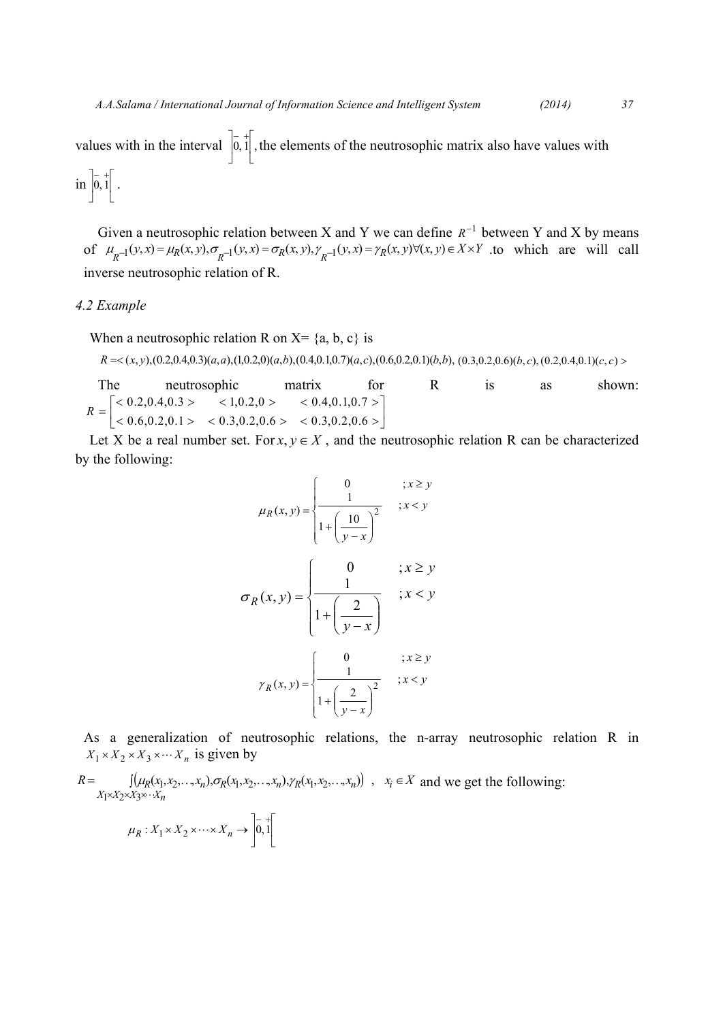values with in the interval  $\vert 0, 1 \vert$ , ⎣  $\left| \overline{0, 1} \right|$  $\overline{\phantom{a}}$  $\begin{bmatrix} -1 \\ 0,1 \end{bmatrix}$ , the elements of the neutrosophic matrix also have values with  $\lim_{h \to 0} \left| \frac{1}{0, 1} \right|$ .

$$
\quad\hbox{in}\ \left] 0,1\right[
$$

Given a neutrosophic relation between X and Y we can define  $R^{-1}$  between Y and X by means of  $\mu_{R^{-1}}(y, x) = \mu_R(x, y), \sigma_{R^{-1}}(y, x) = \sigma_R(x, y), \gamma_{R^{-1}}(y, x) = \gamma_R(x, y) \forall (x, y) \in X \times Y$  to which are will call inverse neutrosophic relation of R.

## *4.2 Example*

When a neutrosophic relation R on  $X = \{a, b, c\}$  is

$$
R = \langle (x, y), (0.2, 0.4, 0.3), (a, a), (1, 0.2, 0), (a, b), (0.4, 0.1, 0.7), (a, c), (0.6, 0.2, 0.1), (b, b), (0.3, 0.2, 0.6), (b, c), (0.2, 0.4, 0.1), (c, c) \rangle
$$

The neutrosophic matrix for R is as shown:  $\begin{array}{|l|} < 0.2, 0.4, 0.3 > \qquad < 1, 0.2, 0 > \qquad < 0.4, 0.1, 0.7 > \ \hline < 0.6, 0.2, 0.1 > \qquad < 0.3, 0.2, 0.6 > \qquad < 0.3, 0.2, 0.6 > \end{array}$  $\overline{a}$  $R = \begin{bmatrix} 1 & 0.2 & 0.4 & 0.3 \\ 0.6 & 0.2 & 0.1 & 0.3 \\ 0.6 & 0.2 & 0.1 & 0.3 \\ 0.0 & 0.2 & 0.1 & 0.3 \\ 0.0 & 0.2 & 0.6 & 0.3 \\ 0.0 & 0.2 & 0.6 & 0.3 \\ 0.0 & 0.2 & 0.6 & 0.3 \\ 0.0 & 0.2 & 0.6 & 0.3 \\ 0.0 & 0.2 & 0.6 & 0.3 \\ 0.0 & 0.2 & 0.6 & 0.3 \\ 0.0 & 0.2 & 0.6$ 

Let X be a real number set. For  $x, y \in X$ , and the neutrosophic relation R can be characterized by the following:

$$
\mu_R(x, y) = \begin{cases}\n0 & ; x \ge y \\
\frac{1}{1 + \left(\frac{10}{y - x}\right)^2} & ; x < y\n\end{cases}
$$
\n
$$
\sigma_R(x, y) = \begin{cases}\n0 & ; x \ge y \\
\frac{1}{1 + \left(\frac{2}{y - x}\right)} & ; x < y\n\end{cases}
$$
\n
$$
\gamma_R(x, y) = \begin{cases}\n0 & ; x \ge y \\
\frac{1}{1 + \left(\frac{2}{y - x}\right)^2} & ; x < y\n\end{cases}
$$

As a generalization of neutrosophic relations, the n-array neutrosophic relation R in  $X_1 \times X_2 \times X_3 \times \cdots X_n$  is given by

 $R = \left[ (\mu_R(x_1, x_2, \ldots, x_n), \sigma_R(x_1, x_2, \ldots, x_n), \gamma_R(x_1, x_2, \ldots, x_n)) \right], \quad x_i \in X$  $X_1 \times X_2 \times X_3 \times \cdots X_n$  $=$   $\int (\mu_R(x_1, x_2, \dots, x_n), \sigma_R(x_1, x_2, \dots, x_n), \gamma_R(x_1, x_2, \dots, x_n))$ ,  $x_i \in$  $\times X_2\times X_3\times$  $(x_1, x_2, \ldots, x_n), \sigma_R(x_1, x_2, \ldots, x_n), \gamma_R(x_1, x_2, \ldots, x_n))$ ,  $1^{\times}$  $2^{\times}$  $3$  $\mathcal{L}_1, \mathcal{X}_2, \ldots, \mathcal{X}_n$ ), $\sigma_R(\mathcal{X}_1, \mathcal{X}_2, \ldots, \mathcal{X}_n)$ , $\gamma_R(\mathcal{X}_1, \mathcal{X}_2)$  $\ddot{\cdot}$  $\mu_R(x_1, x_2, \ldots, x_n), \sigma_R(x_1, x_2, \ldots, x_n), \gamma_R(x_1, x_2, \ldots, x_n)$ ,  $x_i \in X$  and we get the following:

 $\parallel$ ⎣  $\left| \overline{0,1} \right|$ ⎦  $\mu_R: X_1 \times X_2 \times \cdots \times X_n \to \begin{bmatrix} - & + \\ 0 & 1 \end{bmatrix}$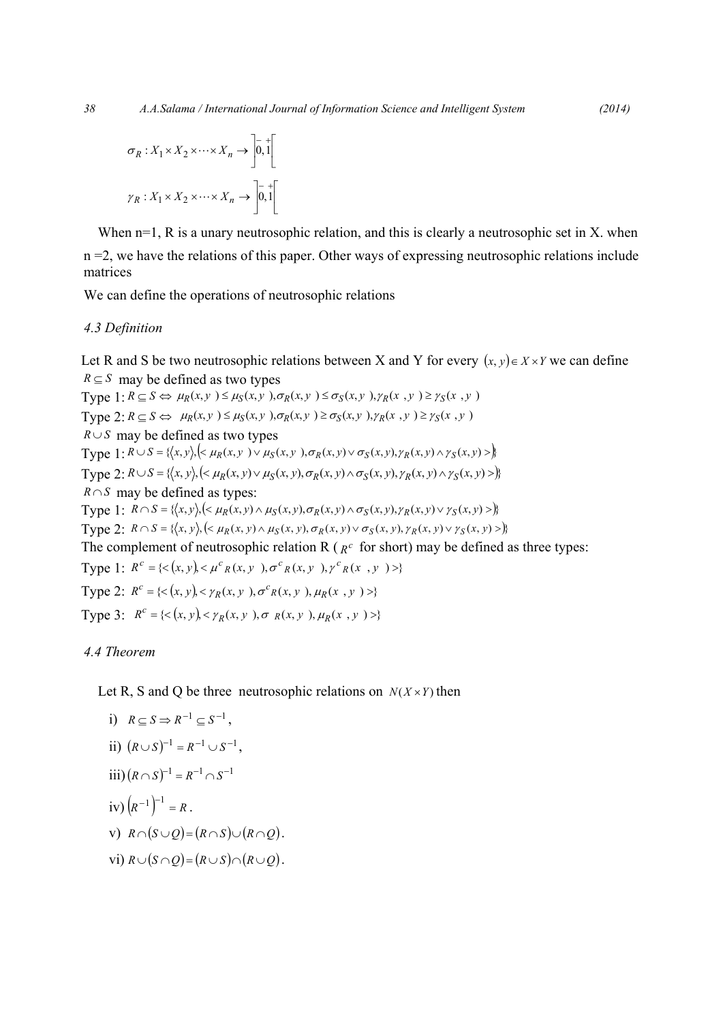$$
\sigma_R: X_1 \times X_2 \times \cdots \times X_n \to \left] \overline{0}, \overline{1} \right[
$$

$$
\gamma_R: X_1 \times X_2 \times \cdots \times X_n \to \left] \overline{0}, \overline{1} \right[
$$

When  $n=1$ , R is a unary neutrosophic relation, and this is clearly a neutrosophic set in X. when n =2, we have the relations of this paper. Other ways of expressing neutrosophic relations include matrices

We can define the operations of neutrosophic relations

## *4.3 Definition*

Let R and S be two neutrosophic relations between X and Y for every  $(x, y) \in X \times Y$  we can define  $R \subseteq S$  may be defined as two types

Type  $1: R \subseteq S \Leftrightarrow \mu_R(x, y) \leq \mu_S(x, y), \sigma_R(x, y) \leq \sigma_S(x, y), \gamma_R(x, y) \geq \gamma_S(x, y)$ Type 2:  $R \subseteq S \Leftrightarrow \mu_R(x, y) \leq \mu_S(x, y), \sigma_R(x, y) \geq \sigma_S(x, y), \gamma_R(x, y) \geq \gamma_S(x, y)$ *R*∪*S* may be defined as two types Type 1:  $R \cup S = \{ (x, y), (x, y) \cup \mu_S(x, y), \sigma_R(x, y) \cup \sigma_S(x, y), \gamma_R(x, y) \wedge \gamma_S(x, y) \}$ Type 2:  $R \cup S = \{ \langle x, y \rangle, \langle \langle \mu_R(x, y) \vee \mu_S(x, y), \sigma_R(x, y) \wedge \sigma_S(x, y), \gamma_R(x, y) \wedge \gamma_S(x, y) \rangle \}$ *R*  $\cap$ *S* may be defined as types: Type 1:  $R \cap S = \{(x,y), (\langle \mu_R(x,y) \wedge \mu_S(x,y), \sigma_R(x,y) \wedge \sigma_S(x,y), \gamma_R(x,y) \vee \gamma_S(x,y) \rangle) \}$ Type 2:  $R \cap S = \{ (x, y), (x, y) \land \mu_S(x, y), \sigma_R(x, y) \lor \sigma_S(x, y), \gamma_R(x, y) \lor \gamma_S(x, y) \}$ The complement of neutrosophic relation R ( $R^c$  for short) may be defined as three types: Type 1:  $R^c = \{ \langle (x, y), \langle \mu^c_R(x, y), \sigma^c_R(x, y), \gamma^c_R(x, y) \rangle \}$ Type 2:  $R^c = \{ \langle x, y \rangle, \langle y, y \rangle, \sigma^c R(x, y), \mu_R(x, y) \rangle \}$ Type 3:  $R^c = \{ \langle (x, y) \rangle \langle \gamma_R(x, y) \rangle, \sigma_R(x, y) \rangle, \mu_R(x, y) \rangle \}$ 

# *4.4 Theorem*

Let R, S and Q be three neutrosophic relations on  $N(X \times Y)$  then

i) 
$$
R \subseteq S \Rightarrow R^{-1} \subseteq S^{-1}
$$
,  
\nii)  $(R \cup S)^{-1} = R^{-1} \cup S^{-1}$ ,  
\niii)  $(R \cap S)^{-1} = R^{-1} \cap S^{-1}$   
\niv)  $(R^{-1})^{-1} = R$ .  
\nv)  $R \cap (S \cup Q) = (R \cap S) \cup (R \cap Q)$ .  
\nvi)  $R \cup (S \cap Q) = (R \cup S) \cap (R \cup Q)$ .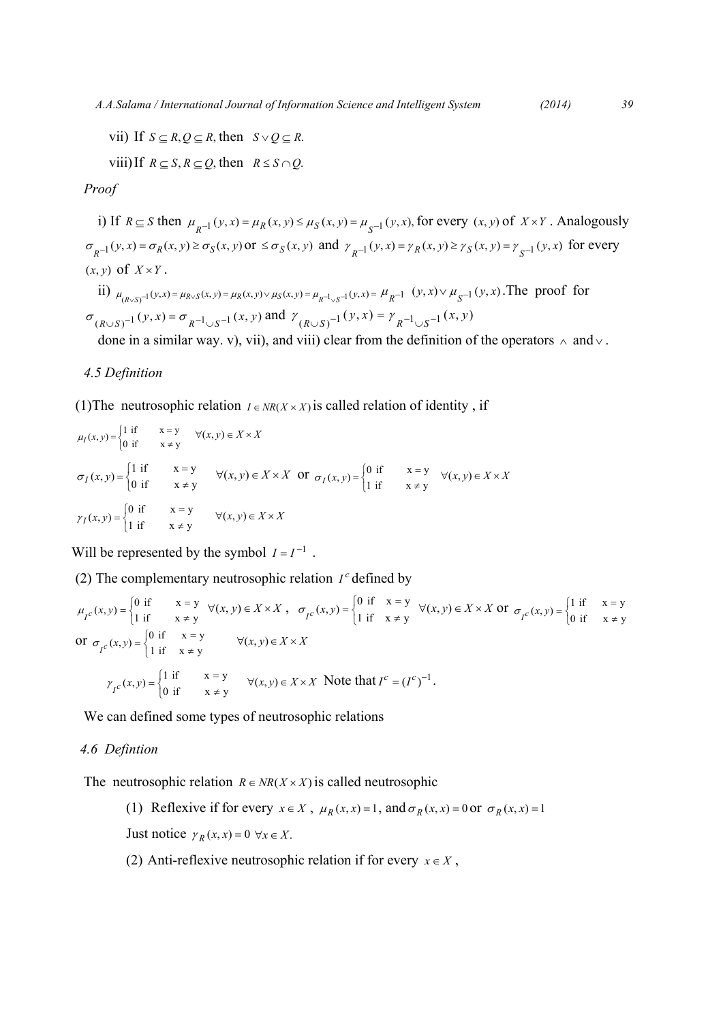*A.A.Salama / International Journal of Information Science and Intelligent System (2014) 39*

vii) If  $S \subseteq R$ ,  $Q \subseteq R$ , then  $S \vee Q \subseteq R$ .

viii)If  $R \subseteq S$ ,  $R \subseteq Q$ , then  $R \leq S \cap Q$ .

*Proof* 

i) If  $R \subseteq S$  then  $\mu_{p-1}(y, x) = \mu_R(x, y) \le \mu_S(x, y) = \mu_{S^{-1}}(y, x)$ , for every  $(x, y)$  of  $X \times Y$ . Analogously  $\sigma_{R^{-1}}(y, x) = \sigma_R(x, y) \ge \sigma_S(x, y)$  or  $\le \sigma_S(x, y)$  and  $\gamma_{R^{-1}}(y, x) = \gamma_R(x, y) \ge \gamma_S(x, y) = \gamma_{S^{-1}}(y, x)$  for every  $(x, y)$  of  $X \times Y$ .

ii) 
$$
\mu_{(R \vee S)^{-1}}(y, x) = \mu_{R \vee S}(x, y) = \mu_R(x, y) \vee \mu_S(x, y) = \mu_{R^{-1} \vee S^{-1}}(y, x) = \mu_{R^{-1}}(y, x) \vee \mu_{S^{-1}}(y, x)
$$
. The proof for  $\sigma_{(R \vee S)^{-1}}(y, x) = \sigma_{R^{-1} \vee S^{-1}}(x, y)$  and  $\gamma_{(R \vee S)^{-1}}(y, x) = \gamma_{R^{-1} \vee S^{-1}}(x, y)$ 

done in a similar way. v), vii), and viii) clear from the definition of the operators  $\land$  and  $\lor$ .

## *4.5 Definition*

(1) The neutrosophic relation  $I \in NR(X \times X)$  is called relation of identity, if

$$
\mu_I(x, y) = \begin{cases}\n1 & \text{if } x = y \\ \n0 & \text{if } x \neq y\n\end{cases} \quad \forall (x, y) \in X \times X
$$
\n
$$
\sigma_I(x, y) = \begin{cases}\n1 & \text{if } x = y \\ \n0 & \text{if } x \neq y \end{cases} \quad \forall (x, y) \in X \times X \quad \text{or } \sigma_I(x, y) = \begin{cases}\n0 & \text{if } x = y \\ \n1 & \text{if } x \neq y \end{cases} \quad \forall (x, y) \in X \times X
$$
\n
$$
\gamma_I(x, y) = \begin{cases}\n0 & \text{if } x = y \\ \n1 & \text{if } x \neq y \end{cases} \quad \forall (x, y) \in X \times X
$$

Will be represented by the symbol  $I = I^{-1}$ .

(2) The complementary neutrosophic relation  $I^c$  defined by

$$
\mu_{I^c}(x, y) = \begin{cases}\n0 & \text{if } x = y \\
1 & \text{if } x \neq y\n\end{cases} \quad \forall (x, y) \in X \times X, \quad \sigma_{I^c}(x, y) = \begin{cases}\n0 & \text{if } x = y \\
1 & \text{if } x \neq y\n\end{cases} \quad \forall (x, y) \in X \times X \text{ or } \sigma_{I^c}(x, y) = \begin{cases}\n1 & \text{if } x = y \\
0 & \text{if } x \neq y\n\end{cases}
$$
\n
$$
\text{or } \sigma_{I^c}(x, y) = \begin{cases}\n0 & \text{if } x = y \\
1 & \text{if } x \neq y\n\end{cases} \quad \forall (x, y) \in X \times X
$$
\n
$$
\gamma_{I^c}(x, y) = \begin{cases}\n1 & \text{if } x = y \\
0 & \text{if } x \neq y\n\end{cases} \quad \forall (x, y) \in X \times X \text{ Note that } I^c = (I^c)^{-1}.
$$

We can defined some types of neutrosophic relations

# *4.6 Defintion*

The neutrosophic relation  $R \in NR(X \times X)$  is called neutrosophic

- (1) Reflexive if for every  $x \in X$ ,  $\mu_R(x, x) = 1$ , and  $\sigma_R(x, x) = 0$  or  $\sigma_R(x, x) = 1$ Just notice  $\gamma_R(x, x) = 0 \ \forall x \in X$ .
- (2) Anti-reflexive neutrosophic relation if for every  $x \in X$ ,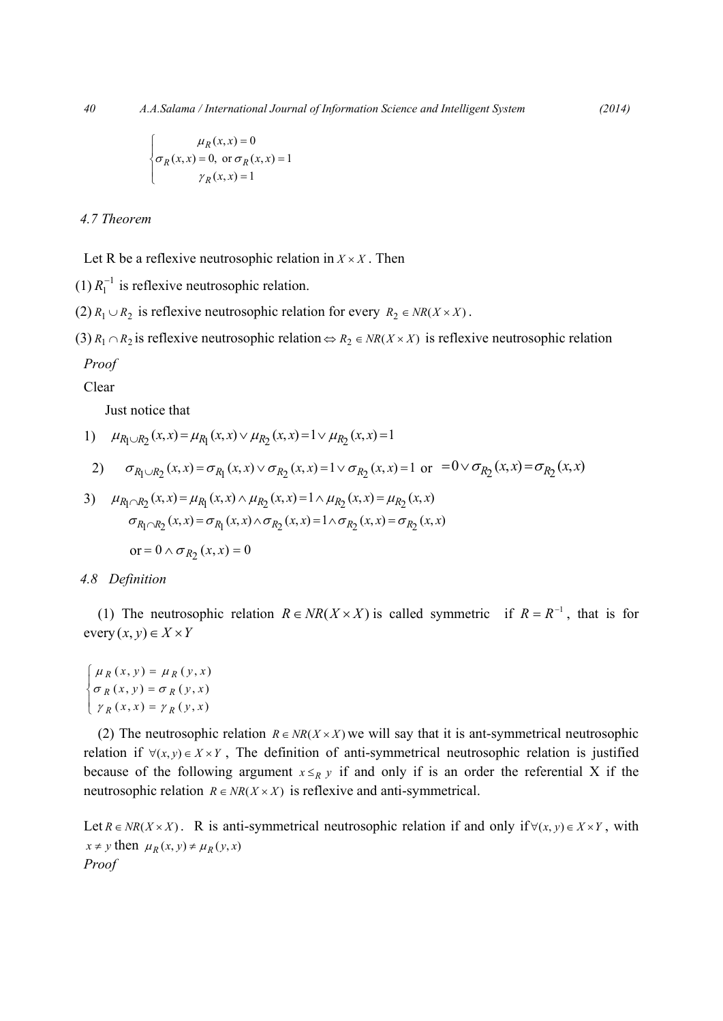$$
\begin{cases}\n\mu_R(x, x) = 0 \\
\sigma_R(x, x) = 0, \text{ or } \sigma_R(x, x) = 1 \\
\gamma_R(x, x) = 1\n\end{cases}
$$

# *4.7 Theorem*

Let R be a reflexive neutrosophic relation in  $X \times X$ . Then

(1)  $R_1^{-1}$  is reflexive neutrosophic relation.

(2)  $R_1 \cup R_2$  is reflexive neutrosophic relation for every  $R_2 \in NR(X \times X)$ .

(3)  $R_1 \cap R_2$  is reflexive neutrosophic relation  $\Leftrightarrow R_2 \in NR(X \times X)$  is reflexive neutrosophic relation

## *Proof*

Clear

Just notice that

1) 
$$
\mu_{R_1 \cup R_2}(x, x) = \mu_{R_1}(x, x) \vee \mu_{R_2}(x, x) = 1 \vee \mu_{R_2}(x, x) = 1
$$

2) 
$$
\sigma_{R_1 \cup R_2}(x, x) = \sigma_{R_1}(x, x) \vee \sigma_{R_2}(x, x) = 1 \vee \sigma_{R_2}(x, x) = 1
$$
 or  $= 0 \vee \sigma_{R_2}(x, x) = \sigma_{R_2}(x, x)$ 

3) 
$$
\mu_{R_1 \cap R_2}(x, x) = \mu_{R_1}(x, x) \land \mu_{R_2}(x, x) = 1 \land \mu_{R_2}(x, x) = \mu_{R_2}(x, x)
$$

$$
\sigma_{R_1 \cap R_2}(x, x) = \sigma_{R_1}(x, x) \land \sigma_{R_2}(x, x) = 1 \land \sigma_{R_2}(x, x) = \sigma_{R_2}(x, x)
$$

$$
\text{or} = 0 \land \sigma_{R_2}(x, x) = 0
$$

#### *4.8 Definition*

(1) The neutrosophic relation  $R \in NR(X \times X)$  is called symmetric if  $R = R^{-1}$ , that is for  $\text{every}(x, y) \in X \times Y$ 

 $\gamma_R(x, x) = \gamma_R(y, x)$ ⎪ ⎨  $\sqrt{ }$ = =  $(x, y) = \sigma_R(y, x)$  $(x, y) = \mu_R(y, x)$  $(x, y) = \sigma_R(y, x)$  $(x, y) = \mu_R(y, x)$  $R(x, y) = \sigma_R$  $R(x, y) = \mu_R$  $\sigma p(x, y) = \sigma$  $\mu_R(x, y) = \mu$ 

(2) The neutrosophic relation  $R \in NR(X \times X)$  we will say that it is ant-symmetrical neutrosophic relation if  $\forall (x, y) \in X \times Y$ , The definition of anti-symmetrical neutrosophic relation is justified because of the following argument  $x \leq_R y$  if and only if is an order the referential X if the neutrosophic relation  $R \in NR(X \times X)$  is reflexive and anti-symmetrical.

Let *R* ∈ *NR*(*X* × *X*). R is anti-symmetrical neutrosophic relation if and only if ∀(*x*, *y*) ∈ *X* × *Y*, with  $x \neq y$  then  $\mu_R(x, y) \neq \mu_R(y, x)$ *Proof*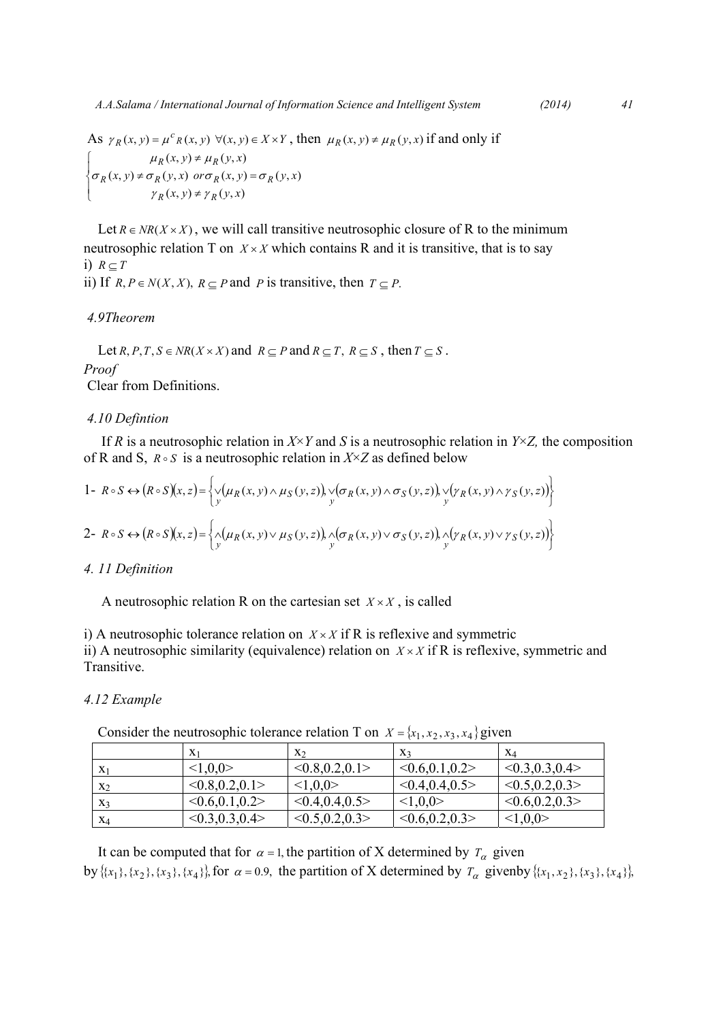$$
2014)
$$

As  $\gamma_R(x, y) = \mu^c_R(x, y) \ \forall (x, y) \in X \times Y$ , then  $\mu_R(x, y) \neq \mu_R(y, x)$  if and only if  $\overline{\mathcal{L}}$ ⎪ ⎨  $\sqrt{ }$ ≠  $\neq \sigma_R(y, x)$  or  $\sigma_R(x, y)$  = ≠  $(x, y) \neq \gamma_R(y, x)$  $(x, y) \neq \sigma_R(y, x)$  or  $\sigma_R(x, y) = \sigma_R(y, x)$  $(x, y) \neq \mu_R(y, x)$  $(x, y) \neq \gamma_R(y, x)$  $f(x, y) \neq \sigma_R(y, x)$  or  $\sigma_R(x, y) = \sigma_R(y, x)$  $(x, y) \neq \mu_R(y, x)$  $R(x, y) \neq \gamma_R$  $R(X, Y) \neq \sigma_R(Y, X)$  or  $\sigma_R(X, Y) = \sigma_R$  $R(x, y) \neq \mu_R$  $\gamma_R(x, y) \neq \gamma$  $\sigma_{\nu}(x, y) \neq \sigma_{\nu}(y, x)$  or  $\sigma_{\nu}(x, y) = \sigma$  $\mu_R(x, y) \neq \mu$ 

Let  $R \in NR(X \times X)$ , we will call transitive neutrosophic closure of R to the minimum neutrosophic relation T on  $X \times X$  which contains R and it is transitive, that is to say i)  $R \subset T$ 

ii) If *R*, *P* ∈ *N*(*X*, *X*), *R* ⊆ *P* and *P* is transitive, then *T* ⊆ *P*.

## *4.9Theorem*

Let *R*, *P*, *T*, *S* ∈ *NR*(*X* × *X*) and  $R \subseteq P$  and  $R \subseteq T$ ,  $R \subseteq S$ , then  $T \subseteq S$ . *Proof*  Clear from Definitions.

#### *4.10 Defintion*

If *R* is a neutrosophic relation in *X*×*Y* and *S* is a neutrosophic relation in *Y*×*Z*, the composition of R and S,  $R \circ S$  is a neutrosophic relation in  $X \times Z$  as defined below

1- 
$$
R \circ S \leftrightarrow (R \circ S)(x, z) = \left\{ \vee_y (\mu_R(x, y) \wedge \mu_S(y, z)), \vee_y (\sigma_R(x, y) \wedge \sigma_S(y, z)), \vee_y (\gamma_R(x, y) \wedge \gamma_S(y, z)) \right\}
$$
  
\n2-  $R \circ S \leftrightarrow (R \circ S)(x, z) = \left\{ \wedge_y (\mu_R(x, y) \vee \mu_S(y, z)), \wedge_y (\sigma_R(x, y) \vee \sigma_S(y, z)), \wedge_y (\gamma_R(x, y) \vee \gamma_S(y, z)) \right\}$ 

## *4. 11 Definition*

A neutrosophic relation R on the cartesian set  $X \times X$ , is called

i) A neutrosophic tolerance relation on  $X \times X$  if R is reflexive and symmetric ii) A neutrosophic similarity (equivalence) relation on  $X \times X$  if R is reflexive, symmetric and Transitive.

#### *4.12 Example*

| Consider the neutrosophic tolerance relation T on $X = \{x_1, x_2, x_3, x_4\}$ given |  |  |
|--------------------------------------------------------------------------------------|--|--|
|--------------------------------------------------------------------------------------|--|--|

|       | $\mathbf{X}$       | $X_2$             | $X_3$           | $X_{\mathcal{A}}$ |
|-------|--------------------|-------------------|-----------------|-------------------|
|       | < 1, 0, 0          | < 0.8, 0.2, 0.1 > | < 0.6, 0.1, 0.2 | < 0.3, 0.3, 0.4 > |
| $X_2$ | < 0.8, 0.2, 0.1 >  | <1,0,0>           | < 0.4, 0.4, 0.5 | < 0.5, 0.2, 0.3 > |
| $X_3$ | $<0.6$ , 0.1, 0.2> | < 0.4, 0.4, 0.5   | <1,0,0>         | < 0.6, 0.2, 0.3 > |
| $X_4$ | < 0.3, 0.3, 0.4 >  | < 0.5, 0.2, 0.3 > | < 0.6, 0.2, 0.3 | <1,0,0>           |

It can be computed that for  $\alpha = 1$ , the partition of X determined by  $T_\alpha$  given by  $\{\{x_1\}, \{x_2\}, \{x_3\}, \{x_4\}\}\$ , for  $\alpha = 0.9$ , the partition of X determined by  $T_\alpha$  given by  $\{\{x_1, x_2\}, \{x_3\}, \{x_4\}\}\$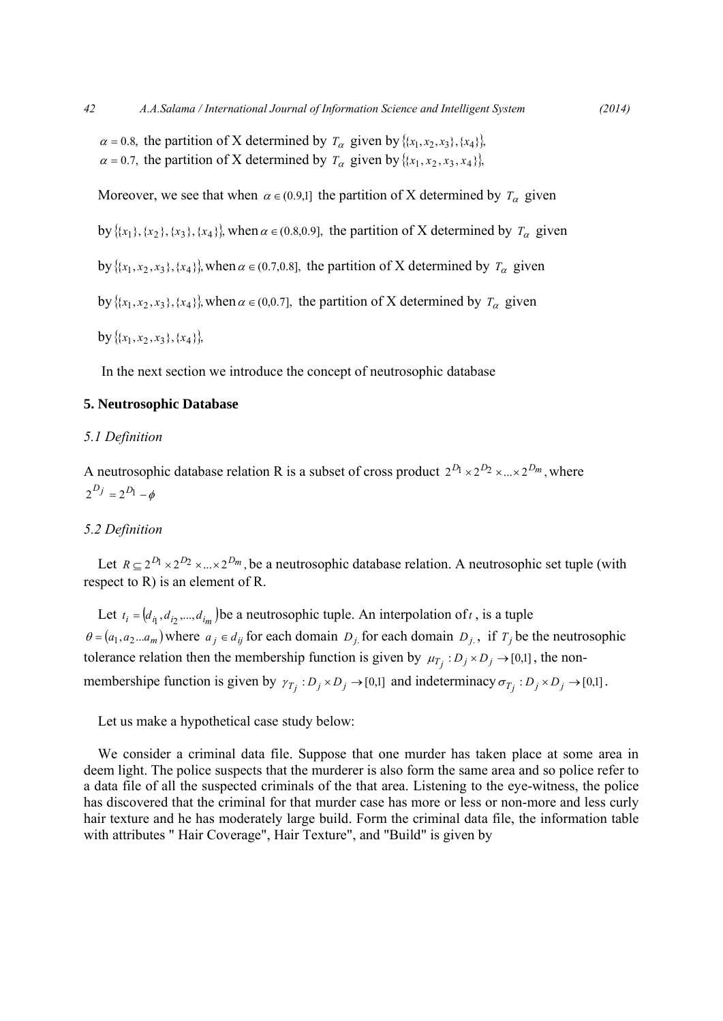$\alpha = 0.8$ , the partition of X determined by  $T_{\alpha}$  given by  $\{(x_1, x_2, x_3), (x_4)\}$  $\alpha = 0.7$ , the partition of X determined by  $T_{\alpha}$  given by  $\{(x_1, x_2, x_3, x_4)\}$ ,

Moreover, we see that when  $\alpha \in (0.9,1]$  the partition of X determined by  $T_\alpha$  given

by  $\{ {x_1}, {x_2}, {x_3}, {x_4} \}$ , when  $\alpha \in (0.8, 0.9]$ , the partition of X determined by  $T_\alpha$  given

by  $\{ {x_1, x_2, x_3\}, {x_4\}}$ , when  $\alpha \in (0.7, 0.8]$ , the partition of X determined by  $T_\alpha$  given

by  $\{ {x_1, x_2, x_3\}, {x_4\}}$ , when  $\alpha \in (0,0.7]$ , the partition of X determined by  $T_\alpha$  given

 $\{ {\bf y} \{ {x_1, x_2, x_3\}, \{x_4\} \}.$ 

In the next section we introduce the concept of neutrosophic database

#### **5. Neutrosophic Database**

#### *5.1 Definition*

A neutrosophic database relation R is a subset of cross product  $2^{D_1} \times 2^{D_2} \times ... \times 2^{D_m}$ , where  $2^{D_j} = 2^{D_l} - \phi$ 

## *5.2 Definition*

Let  $R \subseteq 2^{D_1} \times 2^{D_2} \times ... \times 2^{D_m}$ , be a neutrosophic database relation. A neutrosophic set tuple (with respect to R) is an element of R.

Let  $t_i = (d_i, d_i, ..., d_i)$  be a neutrosophic tuple. An interpolation of *t*, is a tuple  $\theta = (a_1, a_2...a_m)$  where  $a_j \in d_{ij}$  for each domain  $D_j$  for each domain  $D_j$ , if  $T_j$  be the neutrosophic tolerance relation then the membership function is given by  $\mu_{T_i}: D_j \times D_j \to [0,1]$ , the nonmembershipe function is given by  $\gamma_{T_i}: D_j \times D_j \to [0,1]$  and indeterminacy  $\sigma_{T_i}: D_j \times D_j \to [0,1]$ .

Let us make a hypothetical case study below:

We consider a criminal data file. Suppose that one murder has taken place at some area in deem light. The police suspects that the murderer is also form the same area and so police refer to a data file of all the suspected criminals of the that area. Listening to the eye-witness, the police has discovered that the criminal for that murder case has more or less or non-more and less curly hair texture and he has moderately large build. Form the criminal data file, the information table with attributes " Hair Coverage", Hair Texture", and "Build" is given by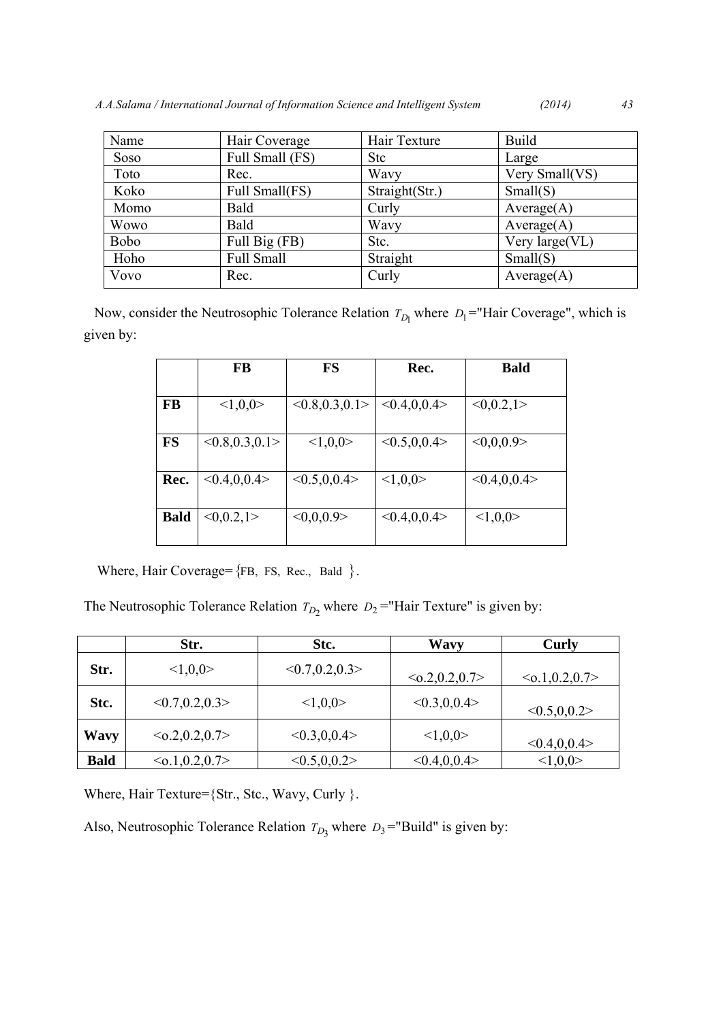| Name        | Hair Coverage   | Hair Texture   | <b>Build</b>   |
|-------------|-----------------|----------------|----------------|
| Soso        | Full Small (FS) | <b>Stc</b>     | Large          |
| Toto        | Rec.            | Wavy           | Very Small(VS) |
| Koko        | Full Small(FS)  | Straight(Str.) | Small(S)       |
| Momo        | Bald            | Curly          | Average(A)     |
| <b>Wowo</b> | Bald            | Wavy           | Average(A)     |
| <b>Bobo</b> | Full Big (FB)   | Stc.           | Very large(VL) |
| Hoho        | Full Small      | Straight       | Small(S)       |
| Vovo        | Rec.            | Curly          | Average(A)     |

Now, consider the Neutrosophic Tolerance Relation  $T_{D_1}$  where  $D_1$ ="Hair Coverage", which is given by:

|             | FB                | <b>FS</b>         | Rec.            | <b>Bald</b> |
|-------------|-------------------|-------------------|-----------------|-------------|
| <b>FB</b>   | <1,0,0>           | < 0.8, 0.3, 0.1 > | < 0.4, 0.04     | <0,0.2,1>   |
| <b>FS</b>   | < 0.8, 0.3, 0.1 > | <1,0,0>           | < 0.5, 0, 0.4 > | <0,0,0.9>   |
| Rec.        | < 0.4, 0.04 >     | < 0.5, 0.0.4 >    | <1,0,0>         | < 0.4, 0.04 |
|             |                   |                   |                 |             |
| <b>Bald</b> | <0,0.2,1>         | <0,0,0.9>         | < 0.4, 0.0.4 >  | <1,0,0>     |

Where, Hair Coverage= ${FB, FS, Rec., Bald}$ .

The Neutrosophic Tolerance Relation  $T_{D_2}$  where  $D_2$  ="Hair Texture" is given by:

|             | Str.                 | Stc.              | <b>Wavy</b>          | Curly                |
|-------------|----------------------|-------------------|----------------------|----------------------|
| Str.        | <1,0,0>              | < 0.7, 0.2, 0.3 > | $\leq 0.2, 0.2, 0.7$ | $\leq 0.1, 0.2, 0.7$ |
| Stc.        | < 0.7, 0.2, 0.3 >    | <1,0,0>           | < 0.3, 0.0.4 >       | < 0.5, 0.0.2 >       |
| <b>Wavy</b> | $\leq 0.2, 0.2, 0.7$ | < 0.3, 0.0.4 >    | <1,0,0>              | < 0.4, 0.04 >        |
| <b>Bald</b> | $\leq 0.1, 0.2, 0.7$ | < 0.5, 0.0.2 >    | < 0.4, 0.04 >        | <1,0,0>              |

Where, Hair Texture={Str., Stc., Wavy, Curly }.

Also, Neutrosophic Tolerance Relation  $T_{D_3}$  where  $D_3$ ="Build" is given by: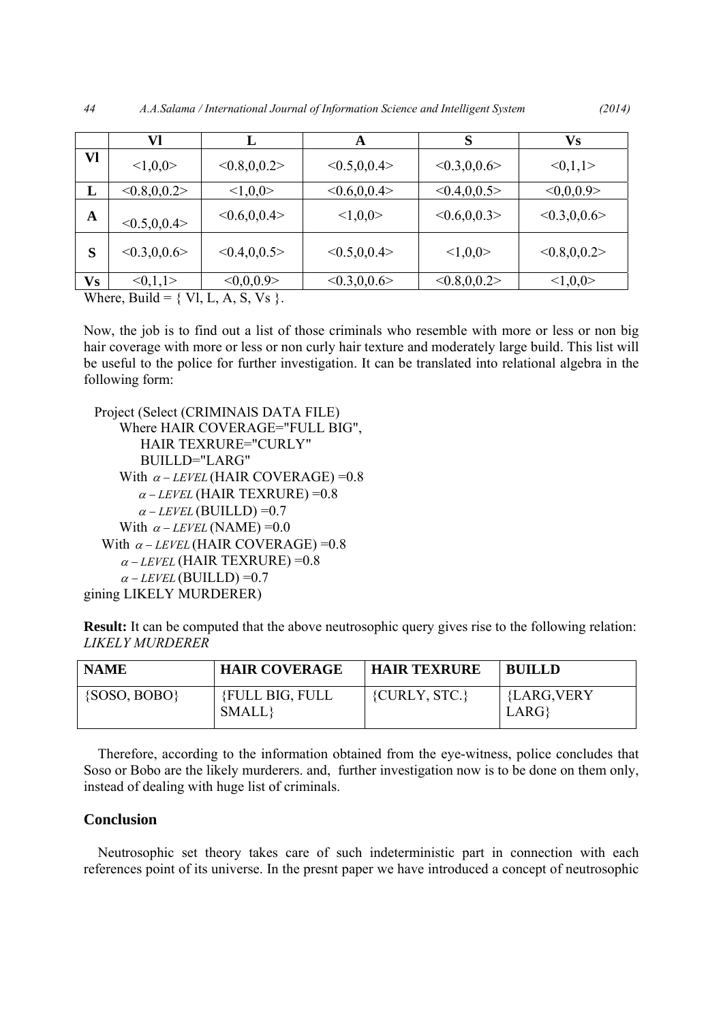|              | Vl              | ┻              | A               | S              | <b>Vs</b>      |
|--------------|-----------------|----------------|-----------------|----------------|----------------|
| Vl           | <1,0,0>         | < 0.8, 0.0.2 > | < 0.5, 0, 0.4 > | < 0.3, 0, 0.6  | <0,1,1>        |
| L            | < 0.8, 0.0.2 >  | <1,0,0>        | < 0.6, 0.04     | < 0.4, 0.0.5   | <0,0,0.9>      |
| $\mathbf{A}$ | < 0.5, 0, 0.4 > | < 0.6, 0.0.4 > | <1,0,0>         | < 0.6, 0.0.3 > | < 0.3, 0, 0.6  |
| S            | < 0.3, 0.0.6 >  | < 0.4, 0.0.5   | < 0.5, 0, 0.4 > | <1,0,0>        | < 0.8, 0.0.2 > |
| <b>Vs</b>    | <0,1,1>         | <0,0,0.9>      | < 0.3, 0.0.6 >  | < 0.8, 0.0.2   | <1,0,0>        |

Where, Build =  $\{ VI, L, A, S, Vs \}$ .

Now, the job is to find out a list of those criminals who resemble with more or less or non big hair coverage with more or less or non curly hair texture and moderately large build. This list will be useful to the police for further investigation. It can be translated into relational algebra in the following form:

 Project (Select (CRIMINAlS DATA FILE) Where HAIR COVERAGE="FULL BIG", HAIR TEXRURE="CURLY" BUILLD="LARG" With  $\alpha$  – *LEVEL* (HAIR COVERAGE) = 0.8  $\alpha$  – *LEVEL* (HAIR TEXRURE) = 0.8  $\alpha$  – *LEVEL* (BUILLD) = 0.7 With  $\alpha$  – *LEVEL* (NAME) = 0.0 With  $\alpha$  – *LEVEL* (HAIR COVERAGE) = 0.8  $\alpha$  – *LEVEL* (HAIR TEXRURE) = 0.8  $\alpha$  – *LEVEL* (BUILLD) = 0.7 gining LIKELY MURDERER)

**Result:** It can be computed that the above neutrosophic query gives rise to the following relation: *LIKELY MURDERER* 

| <b>NAME</b>      | <b>HAIR COVERAGE</b>             | <b>HAIR TEXRURE</b> | <b>BUILLD</b>       |
|------------------|----------------------------------|---------------------|---------------------|
| $\{SOSO, BOBO\}$ | <b>{FULL BIG, FULL</b><br>SMALL} | ${CURLY, STC.}$     | {LARG, VERY<br>LARG |

Therefore, according to the information obtained from the eye-witness, police concludes that Soso or Bobo are the likely murderers. and, further investigation now is to be done on them only, instead of dealing with huge list of criminals.

# **Conclusion**

Neutrosophic set theory takes care of such indeterministic part in connection with each references point of its universe. In the presnt paper we have introduced a concept of neutrosophic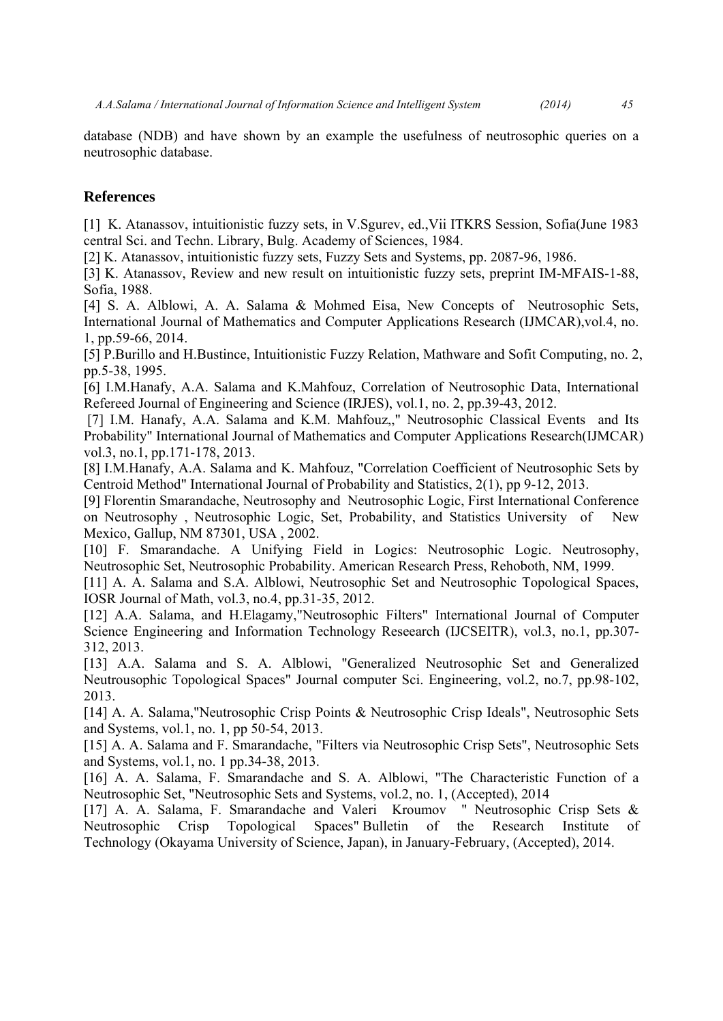database (NDB) and have shown by an example the usefulness of neutrosophic queries on a neutrosophic database.

# **References**

[1] K. Atanassov, intuitionistic fuzzy sets, in V.Sgurev, ed.,Vii ITKRS Session, Sofia(June 1983 central Sci. and Techn. Library, Bulg. Academy of Sciences, 1984.

[2] K. Atanassov, intuitionistic fuzzy sets, Fuzzy Sets and Systems, pp. 2087-96, 1986.

[3] K. Atanassov, Review and new result on intuitionistic fuzzy sets, preprint IM-MFAIS-1-88, Sofia, 1988.

[4] S. A. Alblowi, A. A. Salama & Mohmed Eisa, New Concepts of Neutrosophic Sets, International Journal of Mathematics and Computer Applications Research (IJMCAR),vol.4, no. 1, pp.59-66, 2014.

[5] P.Burillo and H.Bustince, Intuitionistic Fuzzy Relation, Mathware and Sofit Computing, no. 2, pp.5-38, 1995.

[6] I.M.Hanafy, A.A. Salama and K.Mahfouz, Correlation of Neutrosophic Data, International Refereed Journal of Engineering and Science (IRJES), vol.1, no. 2, pp.39-43, 2012.

 [7] I.M. Hanafy, A.A. Salama and K.M. Mahfouz,," Neutrosophic Classical Events and Its Probability" International Journal of Mathematics and Computer Applications Research(IJMCAR) vol.3, no.1, pp.171-178, 2013.

[8] I.M.Hanafy, A.A. Salama and K. Mahfouz, "Correlation Coefficient of Neutrosophic Sets by Centroid Method" International Journal of Probability and Statistics, 2(1), pp 9-12, 2013.

[9] Florentin Smarandache, Neutrosophy and Neutrosophic Logic, First International Conference on Neutrosophy , Neutrosophic Logic, Set, Probability, and Statistics University of New Mexico, Gallup, NM 87301, USA , 2002.

[10] F. Smarandache. A Unifying Field in Logics: Neutrosophic Logic. Neutrosophy, Neutrosophic Set, Neutrosophic Probability. American Research Press, Rehoboth, NM, 1999.

[11] A. A. Salama and S.A. Alblowi, Neutrosophic Set and Neutrosophic Topological Spaces, IOSR Journal of Math, vol.3, no.4, pp.31-35, 2012.

[12] A.A. Salama, and H.Elagamy,"Neutrosophic Filters" International Journal of Computer Science Engineering and Information Technology Reseearch (IJCSEITR), vol.3, no.1, pp.307-312, 2013.

[13] A.A. Salama and S. A. Alblowi, "Generalized Neutrosophic Set and Generalized Neutrousophic Topological Spaces" Journal computer Sci. Engineering, vol.2, no.7, pp.98-102, 2013.

[14] A. A. Salama,"Neutrosophic Crisp Points & Neutrosophic Crisp Ideals", Neutrosophic Sets and Systems, vol.1, no. 1, pp 50-54, 2013.

[15] A. A. Salama and F. Smarandache, "Filters via Neutrosophic Crisp Sets", Neutrosophic Sets and Systems, vol.1, no. 1 pp.34-38, 2013.

[16] A. A. Salama, F. Smarandache and S. A. Alblowi, "The Characteristic Function of a Neutrosophic Set, "Neutrosophic Sets and Systems, vol.2, no. 1, (Accepted), 2014

[17] A. A. Salama, F. Smarandache and Valeri Kroumov " Neutrosophic Crisp Sets & Neutrosophic Crisp Topological Spaces" Bulletin of the Research Institute of Technology (Okayama University of Science, Japan), in January-February, (Accepted), 2014.